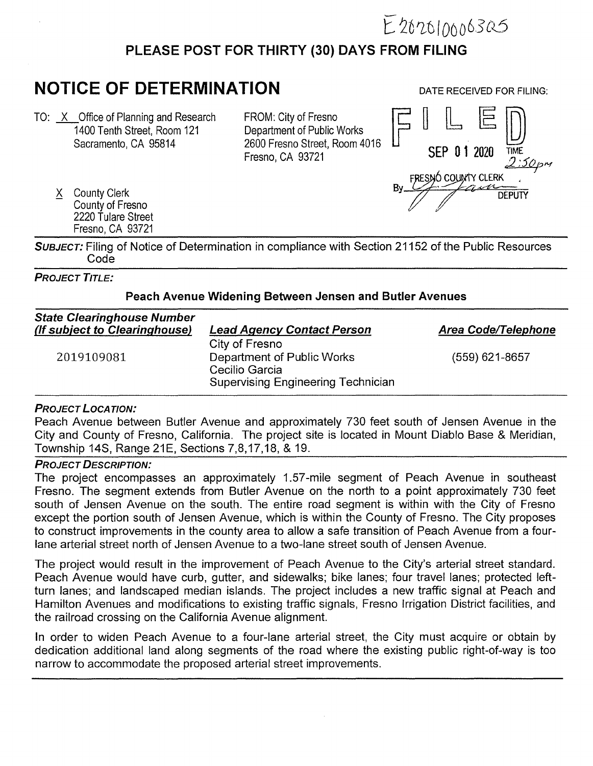

## **PLEASE POST FOR THIRTY (30) DAYS FROM FILING**

# **NOTICE OF DETERMINATION**

TO: X Office of Planning and Research 1400 Tenth Street, Room 121 Sacramento, CA 95814

FROM: City of Fresno Department of Public Works 2600 Fresno Street, Room 4016 Fresno, CA 93721

X County Clerk County of Fresno 2220 Tulare Street Fresno, CA 93721

**DATE RECEIVED FOR FILING:** 



**SUBJECT:** Filing of Notice of Determination in compliance with Section 21152 of the Public Resources Code

#### **PROJECT TITLE:**

#### **Peach Avenue Widening Between Jensen and Butler Avenues**

| <b>State Clearinghouse Number</b><br>(If subject to Clearinghouse) | <b>Lead Agency Contact Person</b>                                                                           | Area Code/Telephone |
|--------------------------------------------------------------------|-------------------------------------------------------------------------------------------------------------|---------------------|
| 2019109081                                                         | City of Fresno<br>Department of Public Works<br>Cecilio Garcia<br><b>Supervising Engineering Technician</b> | $(559)$ 621-8657    |

#### **PROJECT LOCATION:**

Peach Avenue between Butler Avenue and approximately 730 feet south of Jensen Avenue in the City and County of Fresno, California. The project site is located in Mount Diablo Base & Meridian, Township 14S, Range 21E, Sections 7,8,17,18, & 19.

### **PROJECT DESCRIPTION:**

The project encompasses an approximately 1.57-mile segment of Peach Avenue in southeast Fresno. The segment extends from Butler Avenue on the north to a point approximately 730 feet south of Jensen Avenue on the south. The entire road segment is within with the City of Fresno except the portion south of Jensen Avenue, which is within the County of Fresno. The City proposes to construct improvements in the county area to allow a safe transition of Peach Avenue from a fourlane arterial street north of Jensen Avenue to a two-lane street south of Jensen Avenue.

The project would result in the improvement of Peach Avenue to the City's arterial street standard. Peach Avenue would have curb, gutter, and sidewalks; bike lanes; four travel lanes; protected leftturn lanes; and landscaped median islands. The project includes a new traffic signal at Peach and Hamilton Avenues and modifications to existing traffic signals, Fresno Irrigation District facilities, and the railroad crossing on the California Avenue alignment.

In order to widen Peach Avenue to a four-lane arterial street, the City must acquire or obtain by dedication additional land along segments of the road where the existing public right-of-way is too narrow to accommodate the proposed arterial street improvements.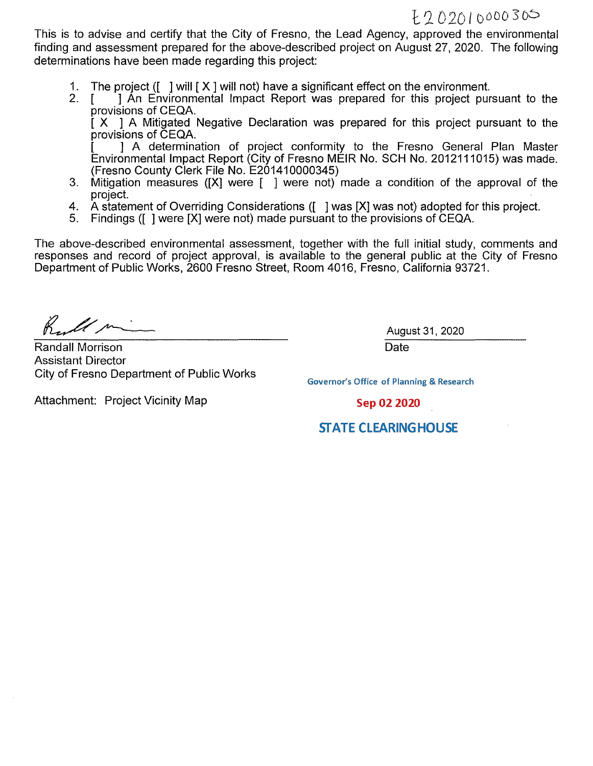This is to advise and certify that the City of Fresno, the Lead Agency, approved the environmental finding and assessment prepared for the above-described project on August 27, 2020. The following determinations have been made regarding this project:

- 1. The project ([ ] will [ **X** ] will not) have a significant effect on the environment.
- 1 An Environmental Impact Report was prepared for this project pursuant to the provisions of CEQA.

[ **X** ] A Mitigated Negative Declaration was prepared for this project pursuant to the provisions of CEQA.

[ ] A determination of project conformity to the Fresno General Plan Master Environmental Impact Report (City of Fresno MEIR No. SCH No. 2012111015) was made. (Fresno County Clerk File No. E201410000345)

- 3. Mitigation measures **([X]** were [ ] were not) made a condition of the approval of the project.
- 4. A statement of Overriding Considerations ([ ] was [X] was not) adopted for this project.
- 5. Findings ([ ] were [X] were not) made pursuant to the provisions of CEQA.

The above-described environmental assessment, together with the full initial study, comments and responses and record of project approval, is available to the general public at the City of Fresno Department of Public Works, 2600 Fresno Street, Room 4016, Fresno, California 93721.

K lim

Randall Morrison Assistant Director City of Fresno Department of Public Works

August 31, 2020 **Date** 

**Governor's Office of Planning & Research** 

Attachment: Project Vicinity Map

Sep 02 2020

## **STATE CLEARING HOUSE**